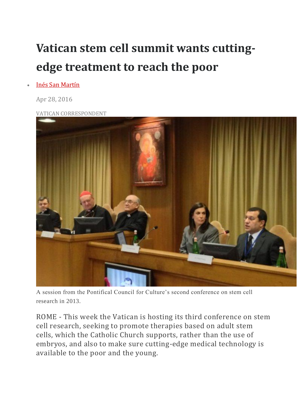## **Vatican stem cell summit wants cuttingedge treatment to reach the poor**

## • Inés San [Martín](https://cruxnow.com/author/ines-sanmartin/)

Apr 28, 2016

VATICAN [CORRESPONDENT](https://cruxnow.com/wp-content/uploads/2016/05/stem-cell-1000.jpg)



A session from the Pontifical Council for Culture's second conference on stem cell research in 2013.

ROME - This week the Vatican is hosting its third conference on stem cell research, seeking to promote therapies based on adult stem cells, which the Catholic Church supports, rather than the use of embryos, and also to make sure cutting-edge medical technology is available to the poor and the young.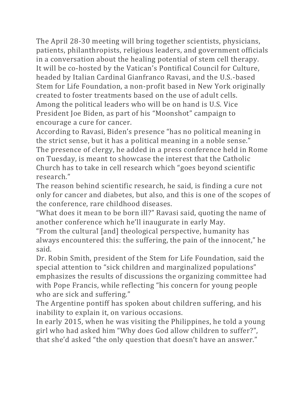The April 28-30 meeting will bring together scientists, physicians, patients, philanthropists, religious leaders, and government officials in a conversation about the healing potential of stem cell therapy. It will be co-hosted by the Vatican's Pontifical Council for Culture, headed by Italian Cardinal Gianfranco Ravasi, and the U.S.-based Stem for Life Foundation, a non-profit based in New York originally created to foster treatments based on the use of adult cells. Among the political leaders who will be on hand is U.S. Vice President Joe Biden, as part of his "Moonshot" campaign to encourage a cure for cancer.

According to Ravasi, Biden's presence "has no political meaning in the strict sense, but it has a political meaning in a noble sense." The presence of clergy, he added in a press conference held in Rome on Tuesday, is meant to showcase the interest that the Catholic Church has to take in cell research which "goes beyond scientific research."

The reason behind scientific research, he said, is finding a cure not only for cancer and diabetes, but also, and this is one of the scopes of the conference, rare childhood diseases.

"What does it mean to be born ill?" Ravasi said, quoting the name of another conference which he'll inaugurate in early May.

"From the cultural [and] theological perspective, humanity has always encountered this: the suffering, the pain of the innocent," he said.

Dr. Robin Smith, president of the Stem for Life Foundation, said the special attention to "sick children and marginalized populations" emphasizes the results of discussions the organizing committee had with Pope Francis, while reflecting "his concern for young people who are sick and suffering."

The Argentine pontiff has spoken about children suffering, and his inability to explain it, on various occasions.

In early 2015, when he was visiting the Philippines, he told a young girl who had asked him "Why does God allow children to suffer?", that she'd asked "the only question that doesn't have an answer."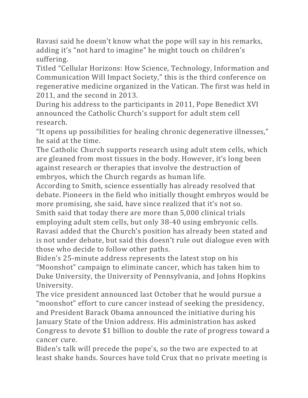Ravasi said he doesn't know what the pope will say in his remarks, adding it's "not hard to imagine" he might touch on children's suffering.

Titled "Cellular Horizons: How Science, Technology, Information and Communication Will Impact Society," this is the third conference on regenerative medicine organized in the Vatican. The first was held in 2011, and the second in 2013.

During his address to the participants in 2011, Pope Benedict XVI announced the Catholic Church's support for adult stem cell research.

"It opens up possibilities for healing chronic degenerative illnesses," he said at the time.

The Catholic Church supports research using adult stem cells, which are gleaned from most tissues in the body. However, it's long been against research or therapies that involve the destruction of embryos, which the Church regards as human life.

According to Smith, science essentially has already resolved that debate. Pioneers in the field who initially thought embryos would be more promising, she said, have since realized that it's not so.

Smith said that today there are more than 5,000 clinical trials employing adult stem cells, but only 38-40 using embryonic cells. Ravasi added that the Church's position has already been stated and is not under debate, but said this doesn't rule out dialogue even with those who decide to follow other paths.

Biden's 25-minute address represents the latest stop on his "Moonshot" campaign to eliminate cancer, which has taken him to Duke University, the University of Pennsylvania, and Johns Hopkins University.

The vice president announced last October that he would pursue a "moonshot" effort to cure cancer instead of seeking the presidency, and President Barack Obama announced the initiative during his January State of the Union address. His administration has asked Congress to devote \$1 billion to double the rate of progress toward a cancer cure.

Biden's talk will precede the pope's, so the two are expected to at least shake hands. Sources have told Crux that no private meeting is